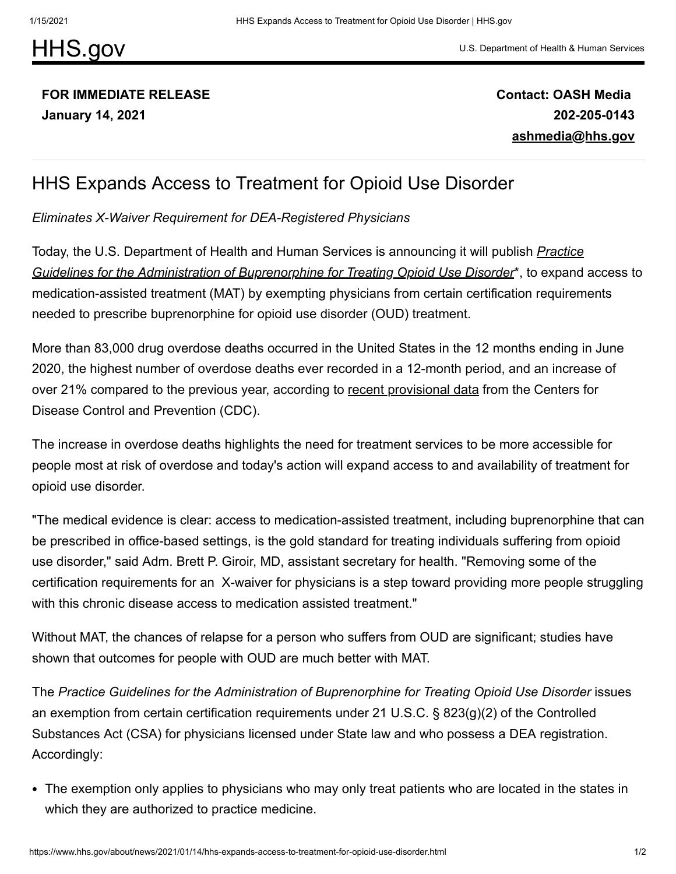## [HHS.gov](https://www.hhs.gov/)

## [U.S. Department of Health & Human Services](https://www.hhs.gov/)

## **FOR IMMEDIATE RELEASE January 14, 2021**

**Contact: OASH Media 202-205-0143 [ashmedia@hhs.gov](mailto:ashmedia@hhs.gov)**

## HHS Expands Access to Treatment for Opioid Use Disorder

*Eliminates X-Waiver Requirement for DEA-Registered Physicians*

[Today, the U.S. Department of Health and Human Services is announcing it will publish](https://www.hhs.gov/sites/default/files/mat-physician-practice-guidelines.pdf) *Practice Guidelines for the Administration of Buprenorphine for Treating Opioid Use Disorder*\*, to expand access to medication-assisted treatment (MAT) by exempting physicians from certain certification requirements needed to prescribe buprenorphine for opioid use disorder (OUD) treatment.

More than 83,000 drug overdose deaths occurred in the United States in the 12 months ending in June 2020, the highest number of overdose deaths ever recorded in a 12-month period, and an increase of over 21% compared to the previous year, according to [recent provisional data](https://www.cdc.gov/nchs/nvss/vsrr/drug-overdose-data.htm) from the Centers for Disease Control and Prevention (CDC).

The increase in overdose deaths highlights the need for treatment services to be more accessible for people most at risk of overdose and today's action will expand access to and availability of treatment for opioid use disorder.

"The medical evidence is clear: access to medication-assisted treatment, including buprenorphine that can be prescribed in office-based settings, is the gold standard for treating individuals suffering from opioid use disorder," said Adm. Brett P. Giroir, MD, assistant secretary for health. "Removing some of the certification requirements for an X-waiver for physicians is a step toward providing more people struggling with this chronic disease access to medication assisted treatment."

Without MAT, the chances of relapse for a person who suffers from OUD are significant; studies have shown that outcomes for people with OUD are much better with MAT.

The *Practice Guidelines for the Administration of Buprenorphine for Treating Opioid Use Disorder* issues an exemption from certain certification requirements under 21 U.S.C. § 823(g)(2) of the Controlled Substances Act (CSA) for physicians licensed under State law and who possess a DEA registration. Accordingly:

The exemption only applies to physicians who may only treat patients who are located in the states in which they are authorized to practice medicine.